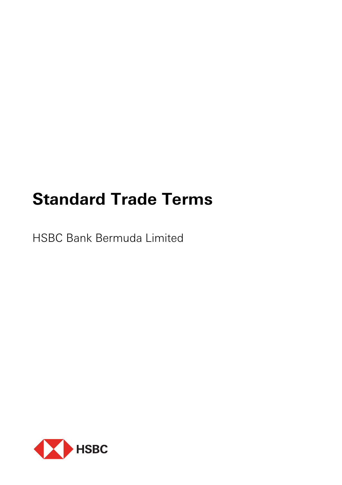# **Standard Trade Terms**

HSBC Bank Bermuda Limited

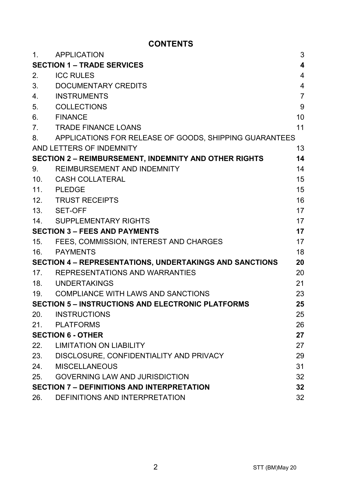# **CONTENTS**

| 1.                                                                   | APPLICATION                                                  | 3                       |
|----------------------------------------------------------------------|--------------------------------------------------------------|-------------------------|
| <b>SECTION 1 - TRADE SERVICES</b>                                    |                                                              | $\overline{\mathbf{4}}$ |
| 2.                                                                   | <b>ICC RULES</b>                                             | $\overline{4}$          |
| 3.                                                                   | DOCUMENTARY CREDITS                                          | 4                       |
| 4.                                                                   | <b>INSTRUMENTS</b>                                           | $\overline{7}$          |
| 5.                                                                   | COLLECTIONS                                                  | 9                       |
| 6.                                                                   | <b>FINANCE</b>                                               | 10                      |
| 7 <sub>1</sub>                                                       | <b>TRADE FINANCE LOANS</b>                                   | 11                      |
| 8.                                                                   | APPLICATIONS FOR RELEASE OF GOODS, SHIPPING GUARANTEES       |                         |
|                                                                      | AND LETTERS OF INDEMNITY                                     | 13                      |
|                                                                      | <b>SECTION 2 - REIMBURSEMENT, INDEMNITY AND OTHER RIGHTS</b> | 14                      |
| 9.                                                                   | REIMBURSEMENT AND INDEMNITY                                  | 14                      |
|                                                                      | 10. CASH COLLATERAL                                          | 15                      |
|                                                                      | 11. PLEDGE                                                   | 15                      |
|                                                                      | 12. TRUST RECEIPTS                                           | 16                      |
|                                                                      | 13. SET-OFF                                                  | 17                      |
|                                                                      | 14. SUPPLEMENTARY RIGHTS                                     | 17                      |
| <b>SECTION 3 - FEES AND PAYMENTS</b>                                 |                                                              | 17                      |
| 15.                                                                  | FEES. COMMISSION. INTEREST AND CHARGES                       | 17                      |
| 16.                                                                  | PAYMENTS                                                     | 18                      |
| <b>SECTION 4 - REPRESENTATIONS, UNDERTAKINGS AND SANCTIONS</b><br>20 |                                                              |                         |
| 17.                                                                  | REPRESENTATIONS AND WARRANTIES                               | 20                      |
|                                                                      | 18. UNDERTAKINGS                                             | 21                      |
|                                                                      | 19. COMPLIANCE WITH LAWS AND SANCTIONS                       | 23                      |
| <b>SECTION 5 - INSTRUCTIONS AND ELECTRONIC PLATFORMS</b><br>25       |                                                              |                         |
| 20.                                                                  | <b>INSTRUCTIONS</b>                                          | 25                      |
| 21.                                                                  | PLATFORMS                                                    | 26                      |
| <b>SECTION 6 - OTHER</b>                                             |                                                              | 27                      |
|                                                                      | 22. LIMITATION ON LIABILITY                                  | 27                      |
|                                                                      | 23. DISCLOSURE, CONFIDENTIALITY AND PRIVACY                  | 29                      |
| 24.                                                                  | MISCELLANEOUS                                                | 31                      |
| 25.                                                                  | <b>GOVERNING LAW AND JURISDICTION</b>                        | 32                      |
|                                                                      | <b>SECTION 7 - DEFINITIONS AND INTERPRETATION</b><br>32      |                         |
| 26.                                                                  | DEFINITIONS AND INTERPRETATION                               | 32                      |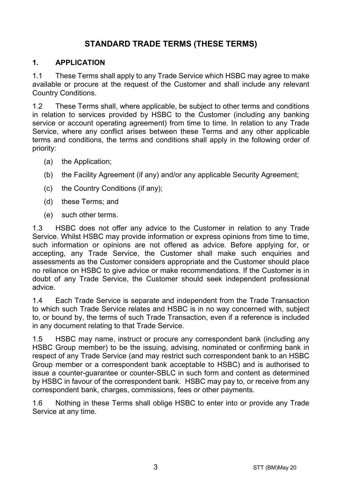# **STANDARD TRADE TERMS (THESE TERMS)**

#### **1. APPLICATION**

1.1 These Terms shall apply to any Trade Service which HSBC may agree to make available or procure at the request of the Customer and shall include any relevant Country Conditions.

1.2 These Terms shall, where applicable, be subject to other terms and conditions in relation to services provided by HSBC to the Customer (including any banking service or account operating agreement) from time to time. In relation to any Trade Service, where any conflict arises between these Terms and any other applicable terms and conditions, the terms and conditions shall apply in the following order of priority:

- (a) the Application;
- (b) the Facility Agreement (if any) and/or any applicable Security Agreement;
- (c) the Country Conditions (if any);
- (d) these Terms; and
- (e) such other terms.

1.3 HSBC does not offer any advice to the Customer in relation to any Trade Service. Whilst HSBC may provide information or express opinions from time to time, such information or opinions are not offered as advice. Before applying for, or accepting, any Trade Service, the Customer shall make such enquiries and assessments as the Customer considers appropriate and the Customer should place no reliance on HSBC to give advice or make recommendations. If the Customer is in doubt of any Trade Service, the Customer should seek independent professional advice.

1.4 Each Trade Service is separate and independent from the Trade Transaction to which such Trade Service relates and HSBC is in no way concerned with, subject to, or bound by, the terms of such Trade Transaction, even if a reference is included in any document relating to that Trade Service.

1.5 HSBC may name, instruct or procure any correspondent bank (including any HSBC Group member) to be the issuing, advising, nominated or confirming bank in respect of any Trade Service (and may restrict such correspondent bank to an HSBC Group member or a correspondent bank acceptable to HSBC) and is authorised to issue a counter-guarantee or counter-SBLC in such form and content as determined by HSBC in favour of the correspondent bank. HSBC may pay to, or receive from any correspondent bank, charges, commissions, fees or other payments.

1.6 Nothing in these Terms shall oblige HSBC to enter into or provide any Trade Service at any time.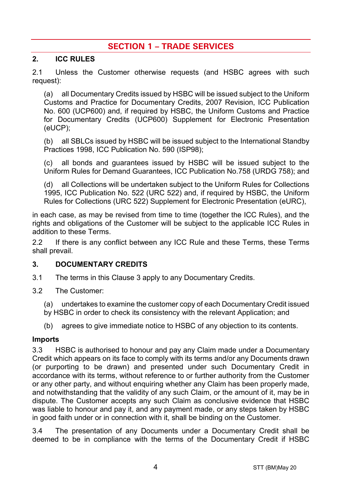# **SECTION 1 – TRADE SERVICES**

#### **2. ICC RULES**

2.1 Unless the Customer otherwise requests (and HSBC agrees with such request):

(a) all Documentary Credits issued by HSBC will be issued subject to the Uniform Customs and Practice for Documentary Credits, 2007 Revision, ICC Publication No. 600 (UCP600) and, if required by HSBC, the Uniform Customs and Practice for Documentary Credits (UCP600) Supplement for Electronic Presentation (eUCP);

(b) all SBLCs issued by HSBC will be issued subject to the International Standby Practices 1998, ICC Publication No. 590 (ISP98);

(c) all bonds and guarantees issued by HSBC will be issued subject to the Uniform Rules for Demand Guarantees, ICC Publication No.758 (URDG 758); and

(d) all Collections will be undertaken subject to the Uniform Rules for Collections 1995, ICC Publication No. 522 (URC 522) and, if required by HSBC, the Uniform Rules for Collections (URC 522) Supplement for Electronic Presentation (eURC),

in each case, as may be revised from time to time (together the ICC Rules), and the rights and obligations of the Customer will be subject to the applicable ICC Rules in addition to these Terms.

2.2 If there is any conflict between any ICC Rule and these Terms, these Terms shall prevail.

#### **3. DOCUMENTARY CREDITS**

- 3.1 The terms in this Clause 3 apply to any Documentary Credits.
- 3.2 The Customer:
	- (a) undertakes to examine the customer copy of each Documentary Credit issued
	- by HSBC in order to check its consistency with the relevant Application; and
	- (b) agrees to give immediate notice to HSBC of any objection to its contents.

#### **Imports**

3.3 HSBC is authorised to honour and pay any Claim made under a Documentary Credit which appears on its face to comply with its terms and/or any Documents drawn (or purporting to be drawn) and presented under such Documentary Credit in accordance with its terms, without reference to or further authority from the Customer or any other party, and without enquiring whether any Claim has been properly made, and notwithstanding that the validity of any such Claim, or the amount of it, may be in dispute. The Customer accepts any such Claim as conclusive evidence that HSBC was liable to honour and pay it, and any payment made, or any steps taken by HSBC in good faith under or in connection with it, shall be binding on the Customer.

3.4 The presentation of any Documents under a Documentary Credit shall be deemed to be in compliance with the terms of the Documentary Credit if HSBC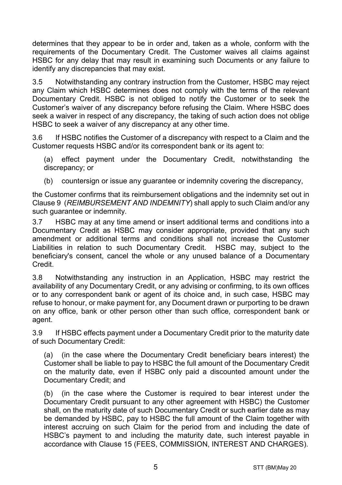determines that they appear to be in order and, taken as a whole, conform with the requirements of the Documentary Credit. The Customer waives all claims against HSBC for any delay that may result in examining such Documents or any failure to identify any discrepancies that may exist.

3.5 Notwithstanding any contrary instruction from the Customer, HSBC may reject any Claim which HSBC determines does not comply with the terms of the relevant Documentary Credit. HSBC is not obliged to notify the Customer or to seek the Customer's waiver of any discrepancy before refusing the Claim. Where HSBC does seek a waiver in respect of any discrepancy, the taking of such action does not oblige HSBC to seek a waiver of any discrepancy at any other time.

3.6 If HSBC notifies the Customer of a discrepancy with respect to a Claim and the Customer requests HSBC and/or its correspondent bank or its agent to:

(a) effect payment under the Documentary Credit, notwithstanding the discrepancy; or

(b) countersign or issue any guarantee or indemnity covering the discrepancy,

the Customer confirms that its reimbursement obligations and the indemnity set out in Clause 9 (*REIMBURSEMENT AND INDEMNITY*) shall apply to such Claim and/or any such guarantee or indemnity.

3.7 HSBC may at any time amend or insert additional terms and conditions into a Documentary Credit as HSBC may consider appropriate, provided that any such amendment or additional terms and conditions shall not increase the Customer Liabilities in relation to such Documentary Credit. HSBC may, subject to the beneficiary's consent, cancel the whole or any unused balance of a Documentary Credit.

3.8 Notwithstanding any instruction in an Application, HSBC may restrict the availability of any Documentary Credit, or any advising or confirming, to its own offices or to any correspondent bank or agent of its choice and, in such case, HSBC may refuse to honour, or make payment for, any Document drawn or purporting to be drawn on any office, bank or other person other than such office, correspondent bank or agent.

3.9 If HSBC effects payment under a Documentary Credit prior to the maturity date of such Documentary Credit:

(a) (in the case where the Documentary Credit beneficiary bears interest) the Customer shall be liable to pay to HSBC the full amount of the Documentary Credit on the maturity date, even if HSBC only paid a discounted amount under the Documentary Credit; and

(b) (in the case where the Customer is required to bear interest under the Documentary Credit pursuant to any other agreement with HSBC) the Customer shall, on the maturity date of such Documentary Credit or such earlier date as may be demanded by HSBC, pay to HSBC the full amount of the Claim together with interest accruing on such Claim for the period from and including the date of HSBC's payment to and including the maturity date, such interest payable in accordance with Clause 15 (FEES, COMMISSION, INTEREST AND CHARGES).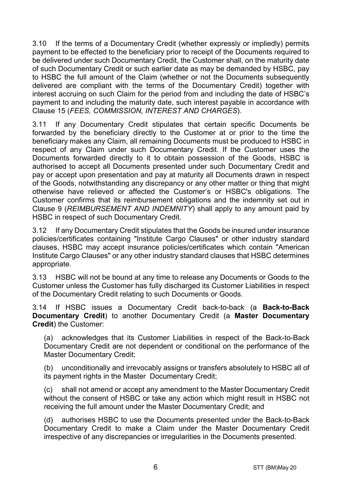3.10 If the terms of a Documentary Credit (whether expressly or impliedly) permits payment to be effected to the beneficiary prior to receipt of the Documents required to be delivered under such Documentary Credit, the Customer shall, on the maturity date of such Documentary Credit or such earlier date as may be demanded by HSBC, pay to HSBC the full amount of the Claim (whether or not the Documents subsequently delivered are compliant with the terms of the Documentary Credit) together with interest accruing on such Claim for the period from and including the date of HSBC's payment to and including the maturity date, such interest payable in accordance with Clause 15 (*FEES, COMMISSION, INTEREST AND CHARGES*).

3.11 If any Documentary Credit stipulates that certain specific Documents be forwarded by the beneficiary directly to the Customer at or prior to the time the beneficiary makes any Claim, all remaining Documents must be produced to HSBC in respect of any Claim under such Documentary Credit. If the Customer uses the Documents forwarded directly to it to obtain possession of the Goods, HSBC is authorised to accept all Documents presented under such Documentary Credit and pay or accept upon presentation and pay at maturity all Documents drawn in respect of the Goods, notwithstanding any discrepancy or any other matter or thing that might otherwise have relieved or affected the Customer's or HSBC's obligations. The Customer confirms that its reimbursement obligations and the indemnity set out in Clause 9 (*REIMBURSEMENT AND INDEMNITY*) shall apply to any amount paid by HSBC in respect of such Documentary Credit.

3.12 If any Documentary Credit stipulates that the Goods be insured under insurance policies/certificates containing "Institute Cargo Clauses" or other industry standard clauses, HSBC may accept insurance policies/certificates which contain "American Institute Cargo Clauses" or any other industry standard clauses that HSBC determines appropriate.

3.13 HSBC will not be bound at any time to release any Documents or Goods to the Customer unless the Customer has fully discharged its Customer Liabilities in respect of the Documentary Credit relating to such Documents or Goods.

3.14 If HSBC issues a Documentary Credit back-to-back (a **Back-to-Back Documentary Credit**) to another Documentary Credit (a **Master Documentary Credit**) the Customer:

(a) acknowledges that its Customer Liabilities in respect of the Back-to-Back Documentary Credit are not dependent or conditional on the performance of the Master Documentary Credit;

(b) unconditionally and irrevocably assigns or transfers absolutely to HSBC all of its payment rights in the Master Documentary Credit;

(c) shall not amend or accept any amendment to the Master Documentary Credit without the consent of HSBC or take any action which might result in HSBC not receiving the full amount under the Master Documentary Credit; and

(d) authorises HSBC to use the Documents presented under the Back-to-Back Documentary Credit to make a Claim under the Master Documentary Credit irrespective of any discrepancies or irregularities in the Documents presented.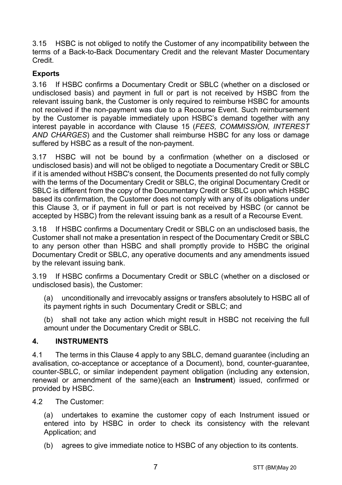3.15 HSBC is not obliged to notify the Customer of any incompatibility between the terms of a Back-to-Back Documentary Credit and the relevant Master Documentary Credit.

# **Exports**

3.16 If HSBC confirms a Documentary Credit or SBLC (whether on a disclosed or undisclosed basis) and payment in full or part is not received by HSBC from the relevant issuing bank, the Customer is only required to reimburse HSBC for amounts not received if the non-payment was due to a Recourse Event. Such reimbursement by the Customer is payable immediately upon HSBC's demand together with any interest payable in accordance with Clause 15 (*FEES, COMMISSION, INTEREST AND CHARGES*) and the Customer shall reimburse HSBC for any loss or damage suffered by HSBC as a result of the non-payment.

3.17 HSBC will not be bound by a confirmation (whether on a disclosed or undisclosed basis) and will not be obliged to negotiate a Documentary Credit or SBLC if it is amended without HSBC's consent, the Documents presented do not fully comply with the terms of the Documentary Credit or SBLC, the original Documentary Credit or SBLC is different from the copy of the Documentary Credit or SBLC upon which HSBC based its confirmation, the Customer does not comply with any of its obligations under this Clause 3, or if payment in full or part is not received by HSBC (or cannot be accepted by HSBC) from the relevant issuing bank as a result of a Recourse Event.

3.18 If HSBC confirms a Documentary Credit or SBLC on an undisclosed basis, the Customer shall not make a presentation in respect of the Documentary Credit or SBLC to any person other than HSBC and shall promptly provide to HSBC the original Documentary Credit or SBLC, any operative documents and any amendments issued by the relevant issuing bank.

3.19 If HSBC confirms a Documentary Credit or SBLC (whether on a disclosed or undisclosed basis), the Customer:

(a) unconditionally and irrevocably assigns or transfers absolutely to HSBC all of its payment rights in such Documentary Credit or SBLC; and

(b) shall not take any action which might result in HSBC not receiving the full amount under the Documentary Credit or SBLC.

#### **4. INSTRUMENTS**

4.1 The terms in this Clause 4 apply to any SBLC, demand guarantee (including an avalisation, co-acceptance or acceptance of a Document), bond, counter-guarantee, counter-SBLC, or similar independent payment obligation (including any extension, renewal or amendment of the same)(each an **Instrument**) issued, confirmed or provided by HSBC.

4.2 The Customer:

(a) undertakes to examine the customer copy of each Instrument issued or entered into by HSBC in order to check its consistency with the relevant Application: and

(b) agrees to give immediate notice to HSBC of any objection to its contents.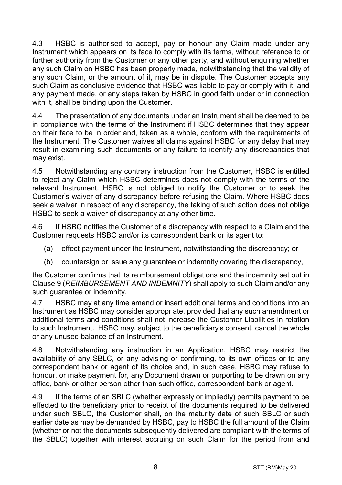4.3 HSBC is authorised to accept, pay or honour any Claim made under any Instrument which appears on its face to comply with its terms, without reference to or further authority from the Customer or any other party, and without enquiring whether any such Claim on HSBC has been properly made, notwithstanding that the validity of any such Claim, or the amount of it, may be in dispute. The Customer accepts any such Claim as conclusive evidence that HSBC was liable to pay or comply with it, and any payment made, or any steps taken by HSBC in good faith under or in connection with it, shall be binding upon the Customer.

4.4 The presentation of any documents under an Instrument shall be deemed to be in compliance with the terms of the Instrument if HSBC determines that they appear on their face to be in order and, taken as a whole, conform with the requirements of the Instrument. The Customer waives all claims against HSBC for any delay that may result in examining such documents or any failure to identify any discrepancies that may exist.

4.5 Notwithstanding any contrary instruction from the Customer, HSBC is entitled to reject any Claim which HSBC determines does not comply with the terms of the relevant Instrument. HSBC is not obliged to notify the Customer or to seek the Customer's waiver of any discrepancy before refusing the Claim. Where HSBC does seek a waiver in respect of any discrepancy, the taking of such action does not oblige HSBC to seek a waiver of discrepancy at any other time.

4.6 If HSBC notifies the Customer of a discrepancy with respect to a Claim and the Customer requests HSBC and/or its correspondent bank or its agent to:

- (a) effect payment under the Instrument, notwithstanding the discrepancy; or
- (b) countersign or issue any guarantee or indemnity covering the discrepancy,

the Customer confirms that its reimbursement obligations and the indemnity set out in Clause 9 (*REIMBURSEMENT AND INDEMNITY*) shall apply to such Claim and/or any such guarantee or indemnity.

4.7 HSBC may at any time amend or insert additional terms and conditions into an Instrument as HSBC may consider appropriate, provided that any such amendment or additional terms and conditions shall not increase the Customer Liabilities in relation to such Instrument. HSBC may, subject to the beneficiary's consent, cancel the whole or any unused balance of an Instrument.

4.8 Notwithstanding any instruction in an Application, HSBC may restrict the availability of any SBLC, or any advising or confirming, to its own offices or to any correspondent bank or agent of its choice and, in such case, HSBC may refuse to honour, or make payment for, any Document drawn or purporting to be drawn on any office, bank or other person other than such office, correspondent bank or agent.

4.9 If the terms of an SBLC (whether expressly or impliedly) permits payment to be effected to the beneficiary prior to receipt of the documents required to be delivered under such SBLC, the Customer shall, on the maturity date of such SBLC or such earlier date as may be demanded by HSBC, pay to HSBC the full amount of the Claim (whether or not the documents subsequently delivered are compliant with the terms of the SBLC) together with interest accruing on such Claim for the period from and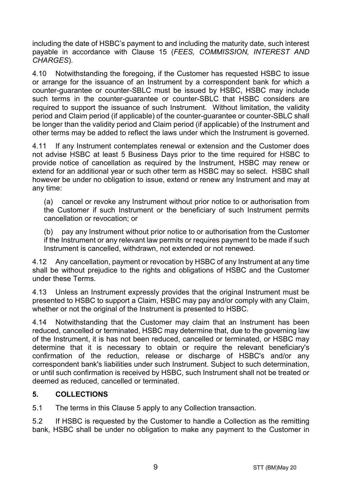including the date of HSBC's payment to and including the maturity date, such interest payable in accordance with Clause 15 (*FEES, COMMISSION, INTEREST AND CHARGES*).

4.10 Notwithstanding the foregoing, if the Customer has requested HSBC to issue or arrange for the issuance of an Instrument by a correspondent bank for which a counter-guarantee or counter-SBLC must be issued by HSBC, HSBC may include such terms in the counter-guarantee or counter-SBLC that HSBC considers are required to support the issuance of such Instrument. Without limitation, the validity period and Claim period (if applicable) of the counter-guarantee or counter-SBLC shall be longer than the validity period and Claim period (if applicable) of the Instrument and other terms may be added to reflect the laws under which the Instrument is governed.

4.11 If any Instrument contemplates renewal or extension and the Customer does not advise HSBC at least 5 Business Days prior to the time required for HSBC to provide notice of cancellation as required by the Instrument, HSBC may renew or extend for an additional year or such other term as HSBC may so select. HSBC shall however be under no obligation to issue, extend or renew any Instrument and may at any time:

(a) cancel or revoke any Instrument without prior notice to or authorisation from the Customer if such Instrument or the beneficiary of such Instrument permits cancellation or revocation; or

(b) pay any Instrument without prior notice to or authorisation from the Customer if the Instrument or any relevant law permits or requires payment to be made if such Instrument is cancelled, withdrawn, not extended or not renewed.

4.12 Any cancellation, payment or revocation by HSBC of any Instrument at any time shall be without prejudice to the rights and obligations of HSBC and the Customer under these Terms.

4.13 Unless an Instrument expressly provides that the original Instrument must be presented to HSBC to support a Claim, HSBC may pay and/or comply with any Claim, whether or not the original of the Instrument is presented to HSBC.

4.14 Notwithstanding that the Customer may claim that an Instrument has been reduced, cancelled or terminated, HSBC may determine that, due to the governing law of the Instrument, it is has not been reduced, cancelled or terminated, or HSBC may determine that it is necessary to obtain or require the relevant beneficiary's confirmation of the reduction, release or discharge of HSBC's and/or any correspondent bank's liabilities under such Instrument. Subject to such determination, or until such confirmation is received by HSBC, such Instrument shall not be treated or deemed as reduced, cancelled or terminated.

#### **5. COLLECTIONS**

5.1 The terms in this Clause 5 apply to any Collection transaction.

5.2 If HSBC is requested by the Customer to handle a Collection as the remitting bank, HSBC shall be under no obligation to make any payment to the Customer in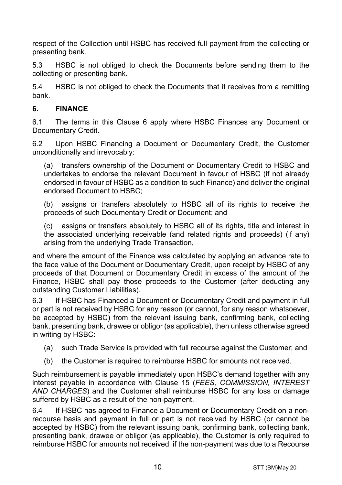respect of the Collection until HSBC has received full payment from the collecting or presenting bank.

5.3 HSBC is not obliged to check the Documents before sending them to the collecting or presenting bank.

5.4 HSBC is not obliged to check the Documents that it receives from a remitting bank.

## **6. FINANCE**

6.1 The terms in this Clause 6 apply where HSBC Finances any Document or Documentary Credit.

6.2 Upon HSBC Financing a Document or Documentary Credit, the Customer unconditionally and irrevocably:

(a) transfers ownership of the Document or Documentary Credit to HSBC and undertakes to endorse the relevant Document in favour of HSBC (if not already endorsed in favour of HSBC as a condition to such Finance) and deliver the original endorsed Document to HSBC;

(b) assigns or transfers absolutely to HSBC all of its rights to receive the proceeds of such Documentary Credit or Document; and

(c) assigns or transfers absolutely to HSBC all of its rights, title and interest in the associated underlying receivable (and related rights and proceeds) (if any) arising from the underlying Trade Transaction,

and where the amount of the Finance was calculated by applying an advance rate to the face value of the Document or Documentary Credit, upon receipt by HSBC of any proceeds of that Document or Documentary Credit in excess of the amount of the Finance, HSBC shall pay those proceeds to the Customer (after deducting any outstanding Customer Liabilities).

6.3 If HSBC has Financed a Document or Documentary Credit and payment in full or part is not received by HSBC for any reason (or cannot, for any reason whatsoever, be accepted by HSBC) from the relevant issuing bank, confirming bank, collecting bank, presenting bank, drawee or obligor (as applicable), then unless otherwise agreed in writing by HSBC:

- (a) such Trade Service is provided with full recourse against the Customer; and
- (b) the Customer is required to reimburse HSBC for amounts not received.

Such reimbursement is payable immediately upon HSBC's demand together with any interest payable in accordance with Clause 15 (*FEES, COMMISSION, INTEREST AND CHARGES*) and the Customer shall reimburse HSBC for any loss or damage suffered by HSBC as a result of the non-payment.

6.4 If HSBC has agreed to Finance a Document or Documentary Credit on a nonrecourse basis and payment in full or part is not received by HSBC (or cannot be accepted by HSBC) from the relevant issuing bank, confirming bank, collecting bank, presenting bank, drawee or obligor (as applicable), the Customer is only required to reimburse HSBC for amounts not received if the non-payment was due to a Recourse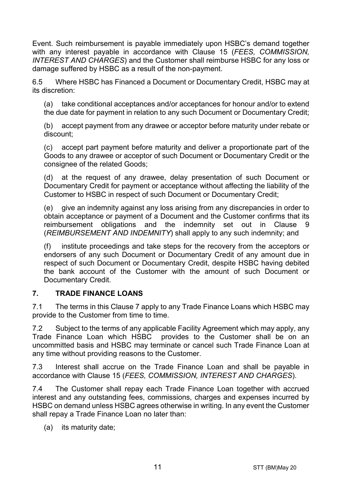Event. Such reimbursement is payable immediately upon HSBC's demand together with any interest payable in accordance with Clause 15 (*FEES, COMMISSION, INTEREST AND CHARGES*) and the Customer shall reimburse HSBC for any loss or damage suffered by HSBC as a result of the non-payment.

6.5 Where HSBC has Financed a Document or Documentary Credit, HSBC may at its discretion:

(a) take conditional acceptances and/or acceptances for honour and/or to extend the due date for payment in relation to any such Document or Documentary Credit;

(b) accept payment from any drawee or acceptor before maturity under rebate or discount;

(c) accept part payment before maturity and deliver a proportionate part of the Goods to any drawee or acceptor of such Document or Documentary Credit or the consignee of the related Goods;

(d) at the request of any drawee, delay presentation of such Document or Documentary Credit for payment or acceptance without affecting the liability of the Customer to HSBC in respect of such Document or Documentary Credit;

(e) give an indemnity against any loss arising from any discrepancies in order to obtain acceptance or payment of a Document and the Customer confirms that its reimbursement obligations and the indemnity set out in Clause 9 (*REIMBURSEMENT AND INDEMNITY*) shall apply to any such indemnity; and

(f) institute proceedings and take steps for the recovery from the acceptors or endorsers of any such Document or Documentary Credit of any amount due in respect of such Document or Documentary Credit, despite HSBC having debited the bank account of the Customer with the amount of such Document or Documentary Credit.

#### **7. TRADE FINANCE LOANS**

7.1 The terms in this Clause 7 apply to any Trade Finance Loans which HSBC may provide to the Customer from time to time.

7.2 Subject to the terms of any applicable Facility Agreement which may apply, any Trade Finance Loan which HSBC provides to the Customer shall be on an uncommitted basis and HSBC may terminate or cancel such Trade Finance Loan at any time without providing reasons to the Customer.

7.3 Interest shall accrue on the Trade Finance Loan and shall be payable in accordance with Clause 15 (*FEES, COMMISSION, INTEREST AND CHARGES*).

7.4 The Customer shall repay each Trade Finance Loan together with accrued interest and any outstanding fees, commissions, charges and expenses incurred by HSBC on demand unless HSBC agrees otherwise in writing. In any event the Customer shall repay a Trade Finance Loan no later than:

(a) its maturity date;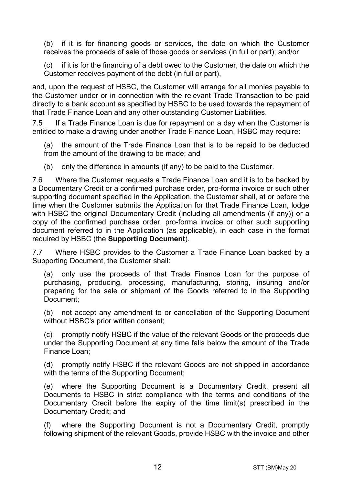(b) if it is for financing goods or services, the date on which the Customer receives the proceeds of sale of those goods or services (in full or part); and/or

(c) if it is for the financing of a debt owed to the Customer, the date on which the Customer receives payment of the debt (in full or part),

and, upon the request of HSBC, the Customer will arrange for all monies payable to the Customer under or in connection with the relevant Trade Transaction to be paid directly to a bank account as specified by HSBC to be used towards the repayment of that Trade Finance Loan and any other outstanding Customer Liabilities.

7.5 If a Trade Finance Loan is due for repayment on a day when the Customer is entitled to make a drawing under another Trade Finance Loan, HSBC may require:

(a) the amount of the Trade Finance Loan that is to be repaid to be deducted from the amount of the drawing to be made; and

(b) only the difference in amounts (if any) to be paid to the Customer.

7.6 Where the Customer requests a Trade Finance Loan and it is to be backed by a Documentary Credit or a confirmed purchase order, pro-forma invoice or such other supporting document specified in the Application, the Customer shall, at or before the time when the Customer submits the Application for that Trade Finance Loan, lodge with HSBC the original Documentary Credit (including all amendments (if any)) or a copy of the confirmed purchase order, pro-forma invoice or other such supporting document referred to in the Application (as applicable), in each case in the format required by HSBC (the **Supporting Document**).

7.7 Where HSBC provides to the Customer a Trade Finance Loan backed by a Supporting Document, the Customer shall:

(a) only use the proceeds of that Trade Finance Loan for the purpose of purchasing, producing, processing, manufacturing, storing, insuring and/or preparing for the sale or shipment of the Goods referred to in the Supporting Document;

(b) not accept any amendment to or cancellation of the Supporting Document without HSBC's prior written consent;

(c) promptly notify HSBC if the value of the relevant Goods or the proceeds due under the Supporting Document at any time falls below the amount of the Trade Finance Loan;

(d) promptly notify HSBC if the relevant Goods are not shipped in accordance with the terms of the Supporting Document;

(e) where the Supporting Document is a Documentary Credit, present all Documents to HSBC in strict compliance with the terms and conditions of the Documentary Credit before the expiry of the time limit(s) prescribed in the Documentary Credit; and

(f) where the Supporting Document is not a Documentary Credit, promptly following shipment of the relevant Goods, provide HSBC with the invoice and other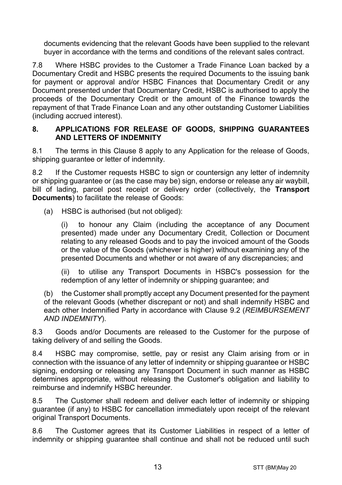documents evidencing that the relevant Goods have been supplied to the relevant buyer in accordance with the terms and conditions of the relevant sales contract.

7.8 Where HSBC provides to the Customer a Trade Finance Loan backed by a Documentary Credit and HSBC presents the required Documents to the issuing bank for payment or approval and/or HSBC Finances that Documentary Credit or any Document presented under that Documentary Credit, HSBC is authorised to apply the proceeds of the Documentary Credit or the amount of the Finance towards the repayment of that Trade Finance Loan and any other outstanding Customer Liabilities (including accrued interest).

#### **8. APPLICATIONS FOR RELEASE OF GOODS, SHIPPING GUARANTEES AND LETTERS OF INDEMNITY**

8.1 The terms in this Clause 8 apply to any Application for the release of Goods, shipping quarantee or letter of indemnity.

8.2 If the Customer requests HSBC to sign or countersign any letter of indemnity or shipping guarantee or (as the case may be) sign, endorse or release any air waybill, bill of lading, parcel post receipt or delivery order (collectively, the **Transport Documents**) to facilitate the release of Goods:

(a) HSBC is authorised (but not obliged):

(i) to honour any Claim (including the acceptance of any Document presented) made under any Documentary Credit, Collection or Document relating to any released Goods and to pay the invoiced amount of the Goods or the value of the Goods (whichever is higher) without examining any of the presented Documents and whether or not aware of any discrepancies; and

(ii) to utilise any Transport Documents in HSBC's possession for the redemption of any letter of indemnity or shipping guarantee; and

(b) the Customer shall promptly accept any Document presented for the payment of the relevant Goods (whether discrepant or not) and shall indemnify HSBC and each other Indemnified Party in accordance with Clause 9.2 (*REIMBURSEMENT AND INDEMNITY*).

8.3 Goods and/or Documents are released to the Customer for the purpose of taking delivery of and selling the Goods.

8.4 HSBC may compromise, settle, pay or resist any Claim arising from or in connection with the issuance of any letter of indemnity or shipping guarantee or HSBC signing, endorsing or releasing any Transport Document in such manner as HSBC determines appropriate, without releasing the Customer's obligation and liability to reimburse and indemnify HSBC hereunder.

8.5 The Customer shall redeem and deliver each letter of indemnity or shipping guarantee (if any) to HSBC for cancellation immediately upon receipt of the relevant original Transport Documents.

8.6 The Customer agrees that its Customer Liabilities in respect of a letter of indemnity or shipping guarantee shall continue and shall not be reduced until such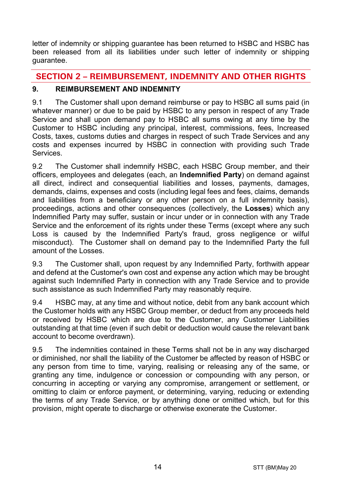letter of indemnity or shipping guarantee has been returned to HSBC and HSBC has been released from all its liabilities under such letter of indemnity or shipping guarantee.

# **SECTION 2 – REIMBURSEMENT, INDEMNITY AND OTHER RIGHTS**

# **9. REIMBURSEMENT AND INDEMNITY**

9.1 The Customer shall upon demand reimburse or pay to HSBC all sums paid (in whatever manner) or due to be paid by HSBC to any person in respect of any Trade Service and shall upon demand pay to HSBC all sums owing at any time by the Customer to HSBC including any principal, interest, commissions, fees, Increased Costs, taxes, customs duties and charges in respect of such Trade Services and any costs and expenses incurred by HSBC in connection with providing such Trade **Services** 

9.2 The Customer shall indemnify HSBC, each HSBC Group member, and their officers, employees and delegates (each, an **Indemnified Party**) on demand against all direct, indirect and consequential liabilities and losses, payments, damages, demands, claims, expenses and costs (including legal fees and fees, claims, demands and liabilities from a beneficiary or any other person on a full indemnity basis), proceedings, actions and other consequences (collectively, the **Losses**) which any Indemnified Party may suffer, sustain or incur under or in connection with any Trade Service and the enforcement of its rights under these Terms (except where any such Loss is caused by the Indemnified Party's fraud, gross negligence or wilful misconduct). The Customer shall on demand pay to the Indemnified Party the full amount of the Losses.

9.3 The Customer shall, upon request by any Indemnified Party, forthwith appear and defend at the Customer's own cost and expense any action which may be brought against such Indemnified Party in connection with any Trade Service and to provide such assistance as such Indemnified Party may reasonably require.

9.4 HSBC may, at any time and without notice, debit from any bank account which the Customer holds with any HSBC Group member, or deduct from any proceeds held or received by HSBC which are due to the Customer, any Customer Liabilities outstanding at that time (even if such debit or deduction would cause the relevant bank account to become overdrawn).

9.5 The indemnities contained in these Terms shall not be in any way discharged or diminished, nor shall the liability of the Customer be affected by reason of HSBC or any person from time to time, varying, realising or releasing any of the same, or granting any time, indulgence or concession or compounding with any person, or concurring in accepting or varying any compromise, arrangement or settlement, or omitting to claim or enforce payment, or determining, varying, reducing or extending the terms of any Trade Service, or by anything done or omitted which, but for this provision, might operate to discharge or otherwise exonerate the Customer.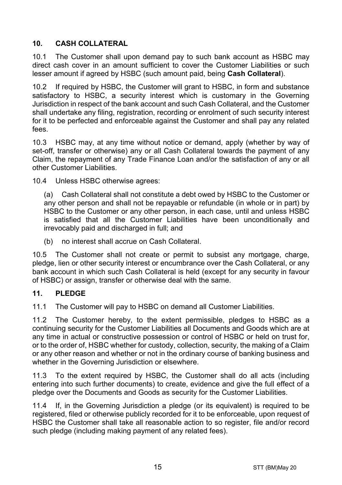# **10. CASH COLLATERAL**

10.1 The Customer shall upon demand pay to such bank account as HSBC may direct cash cover in an amount sufficient to cover the Customer Liabilities or such lesser amount if agreed by HSBC (such amount paid, being **Cash Collateral**).

10.2 If required by HSBC, the Customer will grant to HSBC, in form and substance satisfactory to HSBC, a security interest which is customary in the Governing Jurisdiction in respect of the bank account and such Cash Collateral, and the Customer shall undertake any filing, registration, recording or enrolment of such security interest for it to be perfected and enforceable against the Customer and shall pay any related fees.

10.3 HSBC may, at any time without notice or demand, apply (whether by way of set-off, transfer or otherwise) any or all Cash Collateral towards the payment of any Claim, the repayment of any Trade Finance Loan and/or the satisfaction of any or all other Customer Liabilities.

10.4 Unless HSBC otherwise agrees:

(a) Cash Collateral shall not constitute a debt owed by HSBC to the Customer or any other person and shall not be repayable or refundable (in whole or in part) by HSBC to the Customer or any other person, in each case, until and unless HSBC is satisfied that all the Customer Liabilities have been unconditionally and irrevocably paid and discharged in full; and

(b) no interest shall accrue on Cash Collateral.

10.5 The Customer shall not create or permit to subsist any mortgage, charge, pledge, lien or other security interest or encumbrance over the Cash Collateral, or any bank account in which such Cash Collateral is held (except for any security in favour of HSBC) or assign, transfer or otherwise deal with the same.

#### **11. PLEDGE**

11.1 The Customer will pay to HSBC on demand all Customer Liabilities.

11.2 The Customer hereby, to the extent permissible, pledges to HSBC as a continuing security for the Customer Liabilities all Documents and Goods which are at any time in actual or constructive possession or control of HSBC or held on trust for, or to the order of, HSBC whether for custody, collection, security, the making of a Claim or any other reason and whether or not in the ordinary course of banking business and whether in the Governing Jurisdiction or elsewhere.

11.3 To the extent required by HSBC, the Customer shall do all acts (including entering into such further documents) to create, evidence and give the full effect of a pledge over the Documents and Goods as security for the Customer Liabilities.

11.4 If, in the Governing Jurisdiction a pledge (or its equivalent) is required to be registered, filed or otherwise publicly recorded for it to be enforceable, upon request of HSBC the Customer shall take all reasonable action to so register, file and/or record such pledge (including making payment of any related fees).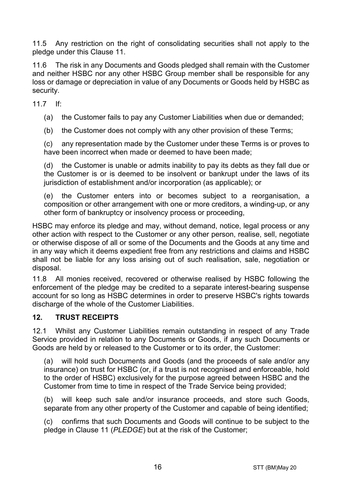11.5 Any restriction on the right of consolidating securities shall not apply to the pledge under this Clause 11.

11.6 The risk in any Documents and Goods pledged shall remain with the Customer and neither HSBC nor any other HSBC Group member shall be responsible for any loss or damage or depreciation in value of any Documents or Goods held by HSBC as security.

11.7 If:

(a) the Customer fails to pay any Customer Liabilities when due or demanded;

(b) the Customer does not comply with any other provision of these Terms;

(c) any representation made by the Customer under these Terms is or proves to have been incorrect when made or deemed to have been made;

(d) the Customer is unable or admits inability to pay its debts as they fall due or the Customer is or is deemed to be insolvent or bankrupt under the laws of its jurisdiction of establishment and/or incorporation (as applicable); or

(e) the Customer enters into or becomes subject to a reorganisation, a composition or other arrangement with one or more creditors, a winding-up, or any other form of bankruptcy or insolvency process or proceeding,

HSBC may enforce its pledge and may, without demand, notice, legal process or any other action with respect to the Customer or any other person, realise, sell, negotiate or otherwise dispose of all or some of the Documents and the Goods at any time and in any way which it deems expedient free from any restrictions and claims and HSBC shall not be liable for any loss arising out of such realisation, sale, negotiation or disposal.

11.8 All monies received, recovered or otherwise realised by HSBC following the enforcement of the pledge may be credited to a separate interest-bearing suspense account for so long as HSBC determines in order to preserve HSBC's rights towards discharge of the whole of the Customer Liabilities.

#### **12. TRUST RECEIPTS**

12.1 Whilst any Customer Liabilities remain outstanding in respect of any Trade Service provided in relation to any Documents or Goods, if any such Documents or Goods are held by or released to the Customer or to its order, the Customer:

(a) will hold such Documents and Goods (and the proceeds of sale and/or any insurance) on trust for HSBC (or, if a trust is not recognised and enforceable, hold to the order of HSBC) exclusively for the purpose agreed between HSBC and the Customer from time to time in respect of the Trade Service being provided;

(b) will keep such sale and/or insurance proceeds, and store such Goods, separate from any other property of the Customer and capable of being identified;

(c) confirms that such Documents and Goods will continue to be subject to the pledge in Clause 11 (*PLEDGE*) but at the risk of the Customer;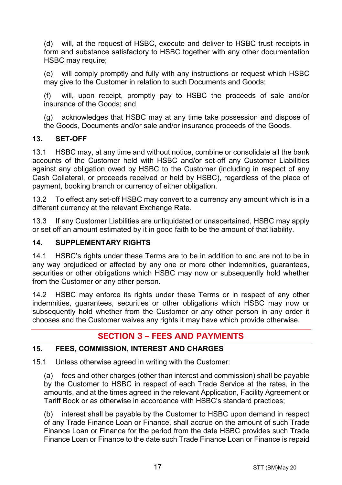(d) will, at the request of HSBC, execute and deliver to HSBC trust receipts in form and substance satisfactory to HSBC together with any other documentation HSBC may require:

(e) will comply promptly and fully with any instructions or request which HSBC may give to the Customer in relation to such Documents and Goods;

(f) will, upon receipt, promptly pay to HSBC the proceeds of sale and/or insurance of the Goods; and

(g) acknowledges that HSBC may at any time take possession and dispose of the Goods, Documents and/or sale and/or insurance proceeds of the Goods.

## **13. SET-OFF**

13.1 HSBC may, at any time and without notice, combine or consolidate all the bank accounts of the Customer held with HSBC and/or set-off any Customer Liabilities against any obligation owed by HSBC to the Customer (including in respect of any Cash Collateral, or proceeds received or held by HSBC), regardless of the place of payment, booking branch or currency of either obligation.

13.2 To effect any set-off HSBC may convert to a currency any amount which is in a different currency at the relevant Exchange Rate.

13.3 If any Customer Liabilities are unliquidated or unascertained, HSBC may apply or set off an amount estimated by it in good faith to be the amount of that liability.

#### **14. SUPPLEMENTARY RIGHTS**

14.1 HSBC's rights under these Terms are to be in addition to and are not to be in any way prejudiced or affected by any one or more other indemnities, guarantees, securities or other obligations which HSBC may now or subsequently hold whether from the Customer or any other person.

14.2 HSBC may enforce its rights under these Terms or in respect of any other indemnities, guarantees, securities or other obligations which HSBC may now or subsequently hold whether from the Customer or any other person in any order it chooses and the Customer waives any rights it may have which provide otherwise.

# **SECTION 3 – FEES AND PAYMENTS**

#### **15. FEES, COMMISSION, INTEREST AND CHARGES**

15.1 Unless otherwise agreed in writing with the Customer:

(a) fees and other charges (other than interest and commission) shall be payable by the Customer to HSBC in respect of each Trade Service at the rates, in the amounts, and at the times agreed in the relevant Application, Facility Agreement or Tariff Book or as otherwise in accordance with HSBC's standard practices;

(b) interest shall be payable by the Customer to HSBC upon demand in respect of any Trade Finance Loan or Finance, shall accrue on the amount of such Trade Finance Loan or Finance for the period from the date HSBC provides such Trade Finance Loan or Finance to the date such Trade Finance Loan or Finance is repaid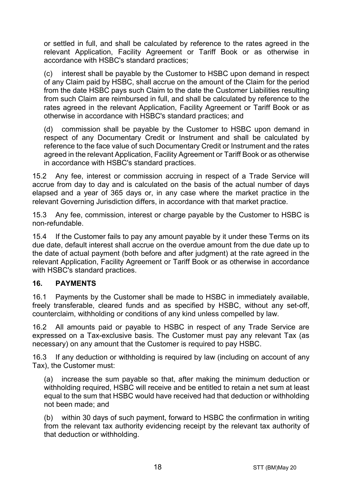or settled in full, and shall be calculated by reference to the rates agreed in the relevant Application, Facility Agreement or Tariff Book or as otherwise in accordance with HSBC's standard practices;

(c) interest shall be payable by the Customer to HSBC upon demand in respect of any Claim paid by HSBC, shall accrue on the amount of the Claim for the period from the date HSBC pays such Claim to the date the Customer Liabilities resulting from such Claim are reimbursed in full, and shall be calculated by reference to the rates agreed in the relevant Application, Facility Agreement or Tariff Book or as otherwise in accordance with HSBC's standard practices; and

(d) commission shall be payable by the Customer to HSBC upon demand in respect of any Documentary Credit or Instrument and shall be calculated by reference to the face value of such Documentary Credit or Instrument and the rates agreed in the relevant Application, Facility Agreement or Tariff Book or as otherwise in accordance with HSBC's standard practices.

15.2 Any fee, interest or commission accruing in respect of a Trade Service will accrue from day to day and is calculated on the basis of the actual number of days elapsed and a year of 365 days or, in any case where the market practice in the relevant Governing Jurisdiction differs, in accordance with that market practice.

15.3 Any fee, commission, interest or charge payable by the Customer to HSBC is non-refundable.

15.4 If the Customer fails to pay any amount payable by it under these Terms on its due date, default interest shall accrue on the overdue amount from the due date up to the date of actual payment (both before and after judgment) at the rate agreed in the relevant Application, Facility Agreement or Tariff Book or as otherwise in accordance with HSBC's standard practices.

#### **16. PAYMENTS**

16.1 Payments by the Customer shall be made to HSBC in immediately available, freely transferable, cleared funds and as specified by HSBC, without any set-off, counterclaim, withholding or conditions of any kind unless compelled by law.

16.2 All amounts paid or payable to HSBC in respect of any Trade Service are expressed on a Tax-exclusive basis. The Customer must pay any relevant Tax (as necessary) on any amount that the Customer is required to pay HSBC.

16.3 If any deduction or withholding is required by law (including on account of any Tax), the Customer must:

(a) increase the sum payable so that, after making the minimum deduction or withholding required, HSBC will receive and be entitled to retain a net sum at least equal to the sum that HSBC would have received had that deduction or withholding not been made; and

(b) within 30 days of such payment, forward to HSBC the confirmation in writing from the relevant tax authority evidencing receipt by the relevant tax authority of that deduction or withholding.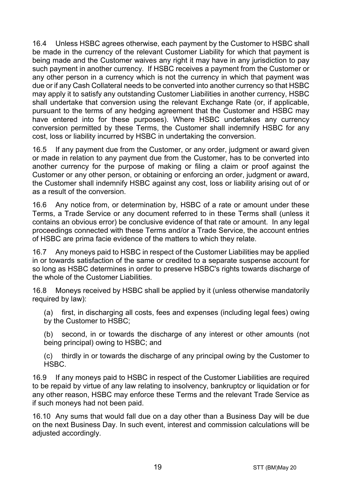16.4 Unless HSBC agrees otherwise, each payment by the Customer to HSBC shall be made in the currency of the relevant Customer Liability for which that payment is being made and the Customer waives any right it may have in any jurisdiction to pay such payment in another currency. If HSBC receives a payment from the Customer or any other person in a currency which is not the currency in which that payment was due or if any Cash Collateral needs to be converted into another currency so that HSBC may apply it to satisfy any outstanding Customer Liabilities in another currency, HSBC shall undertake that conversion using the relevant Exchange Rate (or, if applicable, pursuant to the terms of any hedging agreement that the Customer and HSBC may have entered into for these purposes). Where HSBC undertakes any currency conversion permitted by these Terms, the Customer shall indemnify HSBC for any cost, loss or liability incurred by HSBC in undertaking the conversion.

16.5 If any payment due from the Customer, or any order, judgment or award given or made in relation to any payment due from the Customer, has to be converted into another currency for the purpose of making or filing a claim or proof against the Customer or any other person, or obtaining or enforcing an order, judgment or award, the Customer shall indemnify HSBC against any cost, loss or liability arising out of or as a result of the conversion.

16.6 Any notice from, or determination by, HSBC of a rate or amount under these Terms, a Trade Service or any document referred to in these Terms shall (unless it contains an obvious error) be conclusive evidence of that rate or amount. In any legal proceedings connected with these Terms and/or a Trade Service, the account entries of HSBC are prima facie evidence of the matters to which they relate.

16.7 Any moneys paid to HSBC in respect of the Customer Liabilities may be applied in or towards satisfaction of the same or credited to a separate suspense account for so long as HSBC determines in order to preserve HSBC's rights towards discharge of the whole of the Customer Liabilities.

16.8 Moneys received by HSBC shall be applied by it (unless otherwise mandatorily required by law):

(a) first, in discharging all costs, fees and expenses (including legal fees) owing by the Customer to HSBC;

(b) second, in or towards the discharge of any interest or other amounts (not being principal) owing to HSBC; and

(c) thirdly in or towards the discharge of any principal owing by the Customer to HSBC.

16.9 If any moneys paid to HSBC in respect of the Customer Liabilities are required to be repaid by virtue of any law relating to insolvency, bankruptcy or liquidation or for any other reason, HSBC may enforce these Terms and the relevant Trade Service as if such moneys had not been paid.

16.10 Any sums that would fall due on a day other than a Business Day will be due on the next Business Day. In such event, interest and commission calculations will be adjusted accordingly.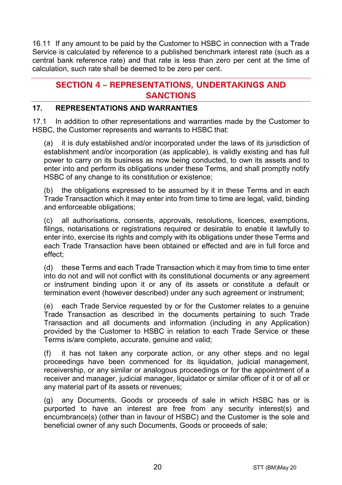16.11 If any amount to be paid by the Customer to HSBC in connection with a Trade Service is calculated by reference to a published benchmark interest rate (such as a central bank reference rate) and that rate is less than zero per cent at the time of calculation, such rate shall be deemed to be zero per cent.

# **SECTION 4 – REPRESENTATIONS, UNDERTAKINGS AND SANCTIONS**

#### **17. REPRESENTATIONS AND WARRANTIES**

17.1 In addition to other representations and warranties made by the Customer to HSBC, the Customer represents and warrants to HSBC that:

(a) it is duly established and/or incorporated under the laws of its jurisdiction of establishment and/or incorporation (as applicable), is validly existing and has full power to carry on its business as now being conducted, to own its assets and to enter into and perform its obligations under these Terms, and shall promptly notify HSBC of any change to its constitution or existence;

(b) the obligations expressed to be assumed by it in these Terms and in each Trade Transaction which it may enter into from time to time are legal, valid, binding and enforceable obligations;

(c) all authorisations, consents, approvals, resolutions, licences, exemptions, filings, notarisations or registrations required or desirable to enable it lawfully to enter into, exercise its rights and comply with its obligations under these Terms and each Trade Transaction have been obtained or effected and are in full force and effect;

(d) these Terms and each Trade Transaction which it may from time to time enter into do not and will not conflict with its constitutional documents or any agreement or instrument binding upon it or any of its assets or constitute a default or termination event (however described) under any such agreement or instrument;

(e) each Trade Service requested by or for the Customer relates to a genuine Trade Transaction as described in the documents pertaining to such Trade Transaction and all documents and information (including in any Application) provided by the Customer to HSBC in relation to each Trade Service or these Terms is/are complete, accurate, genuine and valid;

(f) it has not taken any corporate action, or any other steps and no legal proceedings have been commenced for its liquidation, judicial management, receivership, or any similar or analogous proceedings or for the appointment of a receiver and manager, judicial manager, liquidator or similar officer of it or of all or any material part of its assets or revenues;

(g) any Documents, Goods or proceeds of sale in which HSBC has or is purported to have an interest are free from any security interest(s) and encumbrance(s) (other than in favour of HSBC) and the Customer is the sole and beneficial owner of any such Documents, Goods or proceeds of sale;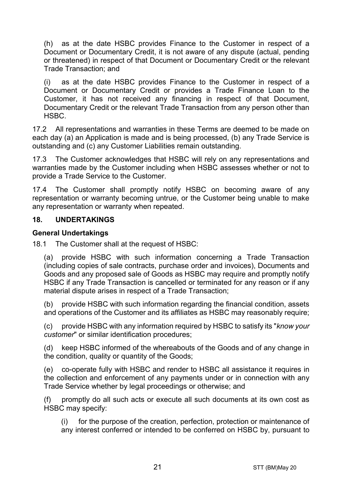(h) as at the date HSBC provides Finance to the Customer in respect of a Document or Documentary Credit, it is not aware of any dispute (actual, pending or threatened) in respect of that Document or Documentary Credit or the relevant Trade Transaction; and

(i) as at the date HSBC provides Finance to the Customer in respect of a Document or Documentary Credit or provides a Trade Finance Loan to the Customer, it has not received any financing in respect of that Document, Documentary Credit or the relevant Trade Transaction from any person other than HSBC.

17.2 All representations and warranties in these Terms are deemed to be made on each day (a) an Application is made and is being processed, (b) any Trade Service is outstanding and (c) any Customer Liabilities remain outstanding.

17.3 The Customer acknowledges that HSBC will rely on any representations and warranties made by the Customer including when HSBC assesses whether or not to provide a Trade Service to the Customer.

17.4 The Customer shall promptly notify HSBC on becoming aware of any representation or warranty becoming untrue, or the Customer being unable to make any representation or warranty when repeated.

#### **18. UNDERTAKINGS**

#### **General Undertakings**

18.1 The Customer shall at the request of HSBC:

(a) provide HSBC with such information concerning a Trade Transaction (including copies of sale contracts, purchase order and invoices), Documents and Goods and any proposed sale of Goods as HSBC may require and promptly notify HSBC if any Trade Transaction is cancelled or terminated for any reason or if any material dispute arises in respect of a Trade Transaction;

(b) provide HSBC with such information regarding the financial condition, assets and operations of the Customer and its affiliates as HSBC may reasonably require;

(c) provide HSBC with any information required by HSBC to satisfy its "*know your customer*" or similar identification procedures;

(d) keep HSBC informed of the whereabouts of the Goods and of any change in the condition, quality or quantity of the Goods;

(e) co-operate fully with HSBC and render to HSBC all assistance it requires in the collection and enforcement of any payments under or in connection with any Trade Service whether by legal proceedings or otherwise; and

(f) promptly do all such acts or execute all such documents at its own cost as HSBC may specify:

(i) for the purpose of the creation, perfection, protection or maintenance of any interest conferred or intended to be conferred on HSBC by, pursuant to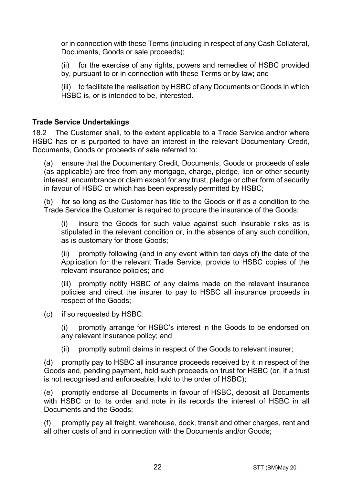or in connection with these Terms (including in respect of any Cash Collateral, Documents, Goods or sale proceeds);

(ii) for the exercise of any rights, powers and remedies of HSBC provided by, pursuant to or in connection with these Terms or by law; and

(iii) to facilitate the realisation by HSBC of any Documents or Goods in which HSBC is, or is intended to be, interested.

#### **Trade Service Undertakings**

18.2 The Customer shall, to the extent applicable to a Trade Service and/or where HSBC has or is purported to have an interest in the relevant Documentary Credit, Documents, Goods or proceeds of sale referred to:

(a) ensure that the Documentary Credit, Documents, Goods or proceeds of sale (as applicable) are free from any mortgage, charge, pledge, lien or other security interest, encumbrance or claim except for any trust, pledge or other form of security in favour of HSBC or which has been expressly permitted by HSBC;

(b) for so long as the Customer has title to the Goods or if as a condition to the Trade Service the Customer is required to procure the insurance of the Goods:

(i) insure the Goods for such value against such insurable risks as is stipulated in the relevant condition or, in the absence of any such condition, as is customary for those Goods;

(ii) promptly following (and in any event within ten days of) the date of the Application for the relevant Trade Service, provide to HSBC copies of the relevant insurance policies; and

(iii) promptly notify HSBC of any claims made on the relevant insurance policies and direct the insurer to pay to HSBC all insurance proceeds in respect of the Goods;

(c) if so requested by HSBC:

(i) promptly arrange for HSBC's interest in the Goods to be endorsed on any relevant insurance policy; and

(ii) promptly submit claims in respect of the Goods to relevant insurer;

(d) promptly pay to HSBC all insurance proceeds received by it in respect of the Goods and, pending payment, hold such proceeds on trust for HSBC (or, if a trust is not recognised and enforceable, hold to the order of HSBC);

(e) promptly endorse all Documents in favour of HSBC, deposit all Documents with HSBC or to its order and note in its records the interest of HSBC in all Documents and the Goods;

(f) promptly pay all freight, warehouse, dock, transit and other charges, rent and all other costs of and in connection with the Documents and/or Goods;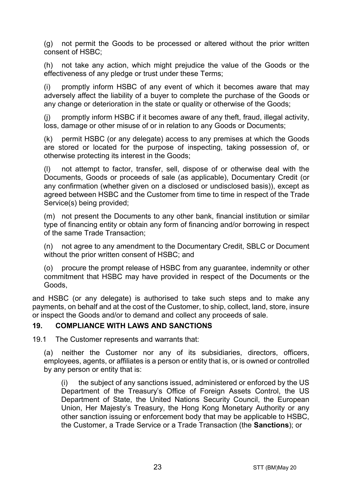(g) not permit the Goods to be processed or altered without the prior written consent of HSBC;

(h) not take any action, which might prejudice the value of the Goods or the effectiveness of any pledge or trust under these Terms;

(i) promptly inform HSBC of any event of which it becomes aware that may adversely affect the liability of a buyer to complete the purchase of the Goods or any change or deterioration in the state or quality or otherwise of the Goods;

(j) promptly inform HSBC if it becomes aware of any theft, fraud, illegal activity, loss, damage or other misuse of or in relation to any Goods or Documents;

(k) permit HSBC (or any delegate) access to any premises at which the Goods are stored or located for the purpose of inspecting, taking possession of, or otherwise protecting its interest in the Goods;

(l) not attempt to factor, transfer, sell, dispose of or otherwise deal with the Documents, Goods or proceeds of sale (as applicable), Documentary Credit (or any confirmation (whether given on a disclosed or undisclosed basis)), except as agreed between HSBC and the Customer from time to time in respect of the Trade Service(s) being provided;

(m) not present the Documents to any other bank, financial institution or similar type of financing entity or obtain any form of financing and/or borrowing in respect of the same Trade Transaction;

(n) not agree to any amendment to the Documentary Credit, SBLC or Document without the prior written consent of HSBC; and

(o) procure the prompt release of HSBC from any guarantee, indemnity or other commitment that HSBC may have provided in respect of the Documents or the Goods,

and HSBC (or any delegate) is authorised to take such steps and to make any payments, on behalf and at the cost of the Customer, to ship, collect, land, store, insure or inspect the Goods and/or to demand and collect any proceeds of sale.

#### **19. COMPLIANCE WITH LAWS AND SANCTIONS**

19.1 The Customer represents and warrants that:

(a) neither the Customer nor any of its subsidiaries, directors, officers, employees, agents, or affiliates is a person or entity that is, or is owned or controlled by any person or entity that is:

(i) the subject of any sanctions issued, administered or enforced by the US Department of the Treasury's Office of Foreign Assets Control, the US Department of State, the United Nations Security Council, the European Union, Her Majesty's Treasury, the Hong Kong Monetary Authority or any other sanction issuing or enforcement body that may be applicable to HSBC, the Customer, a Trade Service or a Trade Transaction (the **Sanctions**); or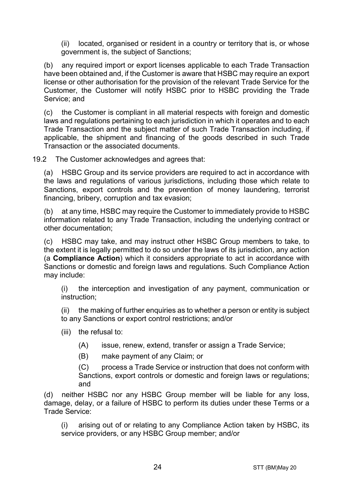(ii) located, organised or resident in a country or territory that is, or whose government is, the subject of Sanctions;

(b) any required import or export licenses applicable to each Trade Transaction have been obtained and, if the Customer is aware that HSBC may require an export license or other authorisation for the provision of the relevant Trade Service for the Customer, the Customer will notify HSBC prior to HSBC providing the Trade Service; and

(c) the Customer is compliant in all material respects with foreign and domestic laws and regulations pertaining to each jurisdiction in which it operates and to each Trade Transaction and the subject matter of such Trade Transaction including, if applicable, the shipment and financing of the goods described in such Trade Transaction or the associated documents.

19.2 The Customer acknowledges and agrees that:

(a) HSBC Group and its service providers are required to act in accordance with the laws and regulations of various jurisdictions, including those which relate to Sanctions, export controls and the prevention of money laundering, terrorist financing, bribery, corruption and tax evasion;

(b) at any time, HSBC may require the Customer to immediately provide to HSBC information related to any Trade Transaction, including the underlying contract or other documentation;

(c) HSBC may take, and may instruct other HSBC Group members to take, to the extent it is legally permitted to do so under the laws of its jurisdiction, any action (a **Compliance Action**) which it considers appropriate to act in accordance with Sanctions or domestic and foreign laws and regulations. Such Compliance Action may include:

(i) the interception and investigation of any payment, communication or instruction;

(ii) the making of further enquiries as to whether a person or entity is subject to any Sanctions or export control restrictions; and/or

- (iii) the refusal to:
	- (A) issue, renew, extend, transfer or assign a Trade Service;
	- (B) make payment of any Claim; or

(C) process a Trade Service or instruction that does not conform with Sanctions, export controls or domestic and foreign laws or regulations; and

(d) neither HSBC nor any HSBC Group member will be liable for any loss, damage, delay, or a failure of HSBC to perform its duties under these Terms or a Trade Service:

(i) arising out of or relating to any Compliance Action taken by HSBC, its service providers, or any HSBC Group member; and/or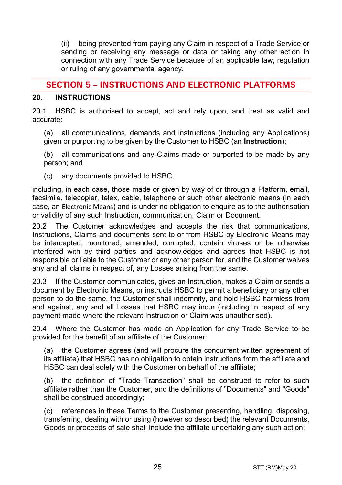(ii) being prevented from paying any Claim in respect of a Trade Service or sending or receiving any message or data or taking any other action in connection with any Trade Service because of an applicable law, regulation or ruling of any governmental agency.

# **SECTION 5 – INSTRUCTIONS AND ELECTRONIC PLATFORMS**

#### **20. INSTRUCTIONS**

20.1 HSBC is authorised to accept, act and rely upon, and treat as valid and accurate:

(a) all communications, demands and instructions (including any Applications) given or purporting to be given by the Customer to HSBC (an **Instruction**);

(b) all communications and any Claims made or purported to be made by any person; and

(c) any documents provided to HSBC,

including, in each case, those made or given by way of or through a Platform, email, facsimile, telecopier, telex, cable, telephone or such other electronic means (in each case, an Electronic Means) and is under no obligation to enquire as to the authorisation or validity of any such Instruction, communication, Claim or Document.

20.2 The Customer acknowledges and accepts the risk that communications, Instructions, Claims and documents sent to or from HSBC by Electronic Means may be intercepted, monitored, amended, corrupted, contain viruses or be otherwise interfered with by third parties and acknowledges and agrees that HSBC is not responsible or liable to the Customer or any other person for, and the Customer waives any and all claims in respect of, any Losses arising from the same.

20.3 If the Customer communicates, gives an Instruction, makes a Claim or sends a document by Electronic Means, or instructs HSBC to permit a beneficiary or any other person to do the same, the Customer shall indemnify, and hold HSBC harmless from and against, any and all Losses that HSBC may incur (including in respect of any payment made where the relevant Instruction or Claim was unauthorised).

20.4 Where the Customer has made an Application for any Trade Service to be provided for the benefit of an affiliate of the Customer:

(a) the Customer agrees (and will procure the concurrent written agreement of its affiliate) that HSBC has no obligation to obtain instructions from the affiliate and HSBC can deal solely with the Customer on behalf of the affiliate;

(b) the definition of "Trade Transaction" shall be construed to refer to such affiliate rather than the Customer, and the definitions of "Documents" and "Goods" shall be construed accordingly;

(c) references in these Terms to the Customer presenting, handling, disposing, transferring, dealing with or using (however so described) the relevant Documents, Goods or proceeds of sale shall include the affiliate undertaking any such action;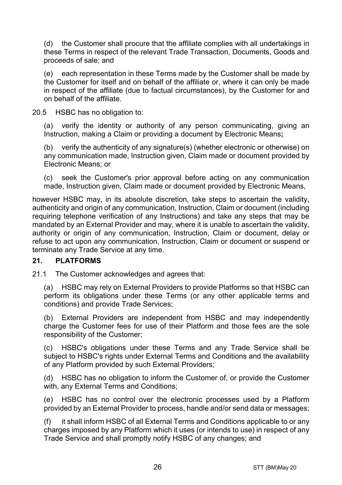(d) the Customer shall procure that the affiliate complies with all undertakings in these Terms in respect of the relevant Trade Transaction, Documents, Goods and proceeds of sale; and

(e) each representation in these Terms made by the Customer shall be made by the Customer for itself and on behalf of the affiliate or, where it can only be made in respect of the affiliate (due to factual circumstances), by the Customer for and on behalf of the affiliate.

20.5 HSBC has no obligation to:

(a) verify the identity or authority of any person communicating, giving an Instruction, making a Claim or providing a document by Electronic Means**;**

(b) verify the authenticity of any signature(s) (whether electronic or otherwise) on any communication made, Instruction given, Claim made or document provided by Electronic Means; or

(c) seek the Customer's prior approval before acting on any communication made, Instruction given, Claim made or document provided by Electronic Means,

however HSBC may, in its absolute discretion, take steps to ascertain the validity, authenticity and origin of any communication, Instruction, Claim or document (including requiring telephone verification of any Instructions) and take any steps that may be mandated by an External Provider and may, where it is unable to ascertain the validity, authority or origin of any communication, Instruction, Claim or document, delay or refuse to act upon any communication, Instruction, Claim or document or suspend or terminate any Trade Service at any time.

#### **21. PLATFORMS**

21.1 The Customer acknowledges and agrees that:

(a) HSBC may rely on External Providers to provide Platforms so that HSBC can perform its obligations under these Terms (or any other applicable terms and conditions) and provide Trade Services;

(b) External Providers are independent from HSBC and may independently charge the Customer fees for use of their Platform and those fees are the sole responsibility of the Customer;

(c) HSBC's obligations under these Terms and any Trade Service shall be subject to HSBC's rights under External Terms and Conditions and the availability of any Platform provided by such External Providers;

(d) HSBC has no obligation to inform the Customer of, or provide the Customer with, any External Terms and Conditions;

(e) HSBC has no control over the electronic processes used by a Platform provided by an External Provider to process, handle and/or send data or messages;

(f) it shall inform HSBC of all External Terms and Conditions applicable to or any charges imposed by any Platform which it uses (or intends to use) in respect of any Trade Service and shall promptly notify HSBC of any changes; and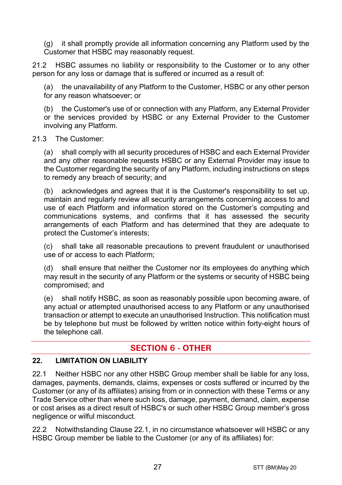(g) it shall promptly provide all information concerning any Platform used by the Customer that HSBC may reasonably request.

21.2 HSBC assumes no liability or responsibility to the Customer or to any other person for any loss or damage that is suffered or incurred as a result of:

the unavailability of any Platform to the Customer, HSBC or any other person for any reason whatsoever; or

(b) the Customer's use of or connection with any Platform, any External Provider or the services provided by HSBC or any External Provider to the Customer involving any Platform.

#### 21.3 The Customer:

(a) shall comply with all security procedures of HSBC and each External Provider and any other reasonable requests HSBC or any External Provider may issue to the Customer regarding the security of any Platform, including instructions on steps to remedy any breach of security; and

(b) acknowledges and agrees that it is the Customer's responsibility to set up, maintain and regularly review all security arrangements concerning access to and use of each Platform and information stored on the Customer's computing and communications systems, and confirms that it has assessed the security arrangements of each Platform and has determined that they are adequate to protect the Customer's interests;

(c) shall take all reasonable precautions to prevent fraudulent or unauthorised use of or access to each Platform;

(d) shall ensure that neither the Customer nor its employees do anything which may result in the security of any Platform or the systems or security of HSBC being compromised; and

(e) shall notify HSBC, as soon as reasonably possible upon becoming aware, of any actual or attempted unauthorised access to any Platform or any unauthorised transaction or attempt to execute an unauthorised Instruction. This notification must be by telephone but must be followed by written notice within forty-eight hours of the telephone call.

# **SECTION 6 - OTHER**

#### **22. LIMITATION ON LIABILITY**

22.1 Neither HSBC nor any other HSBC Group member shall be liable for any loss, damages, payments, demands, claims, expenses or costs suffered or incurred by the Customer (or any of its affiliates) arising from or in connection with these Terms or any Trade Service other than where such loss, damage, payment, demand, claim, expense or cost arises as a direct result of HSBC's or such other HSBC Group member's gross negligence or wilful misconduct.

22.2 Notwithstanding Clause 22.1, in no circumstance whatsoever will HSBC or any HSBC Group member be liable to the Customer (or any of its affiliates) for: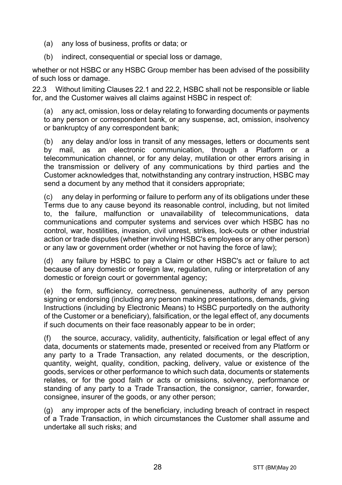- (a) any loss of business, profits or data; or
- (b) indirect, consequential or special loss or damage,

whether or not HSBC or any HSBC Group member has been advised of the possibility of such loss or damage.

22.3 Without limiting Clauses 22.1 and 22.2, HSBC shall not be responsible or liable for, and the Customer waives all claims against HSBC in respect of:

(a) any act, omission, loss or delay relating to forwarding documents or payments to any person or correspondent bank, or any suspense, act, omission, insolvency or bankruptcy of any correspondent bank;

(b) any delay and/or loss in transit of any messages, letters or documents sent by mail, as an electronic communication, through a Platform or a telecommunication channel, or for any delay, mutilation or other errors arising in the transmission or delivery of any communications by third parties and the Customer acknowledges that, notwithstanding any contrary instruction, HSBC may send a document by any method that it considers appropriate;

(c) any delay in performing or failure to perform any of its obligations under these Terms due to any cause beyond its reasonable control, including, but not limited to, the failure, malfunction or unavailability of telecommunications, data communications and computer systems and services over which HSBC has no control, war, hostilities, invasion, civil unrest, strikes, lock-outs or other industrial action or trade disputes (whether involving HSBC's employees or any other person) or any law or government order (whether or not having the force of law);

(d) any failure by HSBC to pay a Claim or other HSBC's act or failure to act because of any domestic or foreign law, regulation, ruling or interpretation of any domestic or foreign court or governmental agency;

(e) the form, sufficiency, correctness, genuineness, authority of any person signing or endorsing (including any person making presentations, demands, giving Instructions (including by Electronic Means) to HSBC purportedly on the authority of the Customer or a beneficiary), falsification, or the legal effect of, any documents if such documents on their face reasonably appear to be in order;

(f) the source, accuracy, validity, authenticity, falsification or legal effect of any data, documents or statements made, presented or received from any Platform or any party to a Trade Transaction, any related documents, or the description, quantity, weight, quality, condition, packing, delivery, value or existence of the goods, services or other performance to which such data, documents or statements relates, or for the good faith or acts or omissions, solvency, performance or standing of any party to a Trade Transaction, the consignor, carrier, forwarder, consignee, insurer of the goods, or any other person;

(g) any improper acts of the beneficiary, including breach of contract in respect of a Trade Transaction, in which circumstances the Customer shall assume and undertake all such risks; and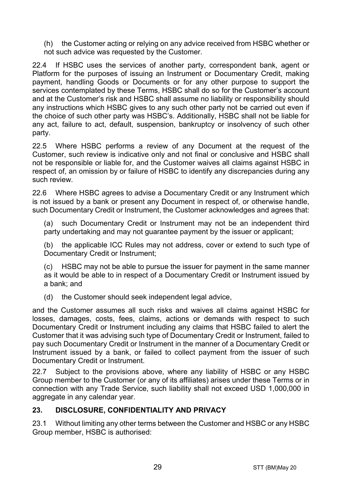(h) the Customer acting or relying on any advice received from HSBC whether or not such advice was requested by the Customer.

22.4 If HSBC uses the services of another party, correspondent bank, agent or Platform for the purposes of issuing an Instrument or Documentary Credit, making payment, handling Goods or Documents or for any other purpose to support the services contemplated by these Terms, HSBC shall do so for the Customer's account and at the Customer's risk and HSBC shall assume no liability or responsibility should any instructions which HSBC gives to any such other party not be carried out even if the choice of such other party was HSBC's. Additionally, HSBC shall not be liable for any act, failure to act, default, suspension, bankruptcy or insolvency of such other party.

22.5 Where HSBC performs a review of any Document at the request of the Customer, such review is indicative only and not final or conclusive and HSBC shall not be responsible or liable for, and the Customer waives all claims against HSBC in respect of, an omission by or failure of HSBC to identify any discrepancies during any such review.

22.6 Where HSBC agrees to advise a Documentary Credit or any Instrument which is not issued by a bank or present any Document in respect of, or otherwise handle, such Documentary Credit or Instrument, the Customer acknowledges and agrees that:

(a) such Documentary Credit or Instrument may not be an independent third party undertaking and may not quarantee payment by the issuer or applicant;

(b) the applicable ICC Rules may not address, cover or extend to such type of Documentary Credit or Instrument;

(c) HSBC may not be able to pursue the issuer for payment in the same manner as it would be able to in respect of a Documentary Credit or Instrument issued by a bank; and

(d) the Customer should seek independent legal advice,

and the Customer assumes all such risks and waives all claims against HSBC for losses, damages, costs, fees, claims, actions or demands with respect to such Documentary Credit or Instrument including any claims that HSBC failed to alert the Customer that it was advising such type of Documentary Credit or Instrument, failed to pay such Documentary Credit or Instrument in the manner of a Documentary Credit or Instrument issued by a bank, or failed to collect payment from the issuer of such Documentary Credit or Instrument.

22.7 Subject to the provisions above, where any liability of HSBC or any HSBC Group member to the Customer (or any of its affiliates) arises under these Terms or in connection with any Trade Service, such liability shall not exceed USD 1,000,000 in aggregate in any calendar year.

#### **23. DISCLOSURE, CONFIDENTIALITY AND PRIVACY**

23.1 Without limiting any other terms between the Customer and HSBC or any HSBC Group member, HSBC is authorised: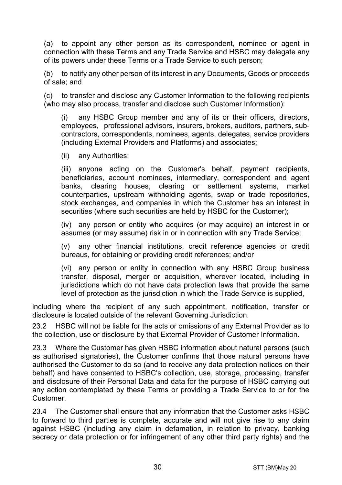(a) to appoint any other person as its correspondent, nominee or agent in connection with these Terms and any Trade Service and HSBC may delegate any of its powers under these Terms or a Trade Service to such person;

(b) to notify any other person of its interest in any Documents, Goods or proceeds of sale; and

(c) to transfer and disclose any Customer Information to the following recipients (who may also process, transfer and disclose such Customer Information):

(i) any HSBC Group member and any of its or their officers, directors, employees, professional advisors, insurers, brokers, auditors, partners, subcontractors, correspondents, nominees, agents, delegates, service providers (including External Providers and Platforms) and associates;

(ii) any Authorities;

(iii) anyone acting on the Customer's behalf, payment recipients, beneficiaries, account nominees, intermediary, correspondent and agent banks, clearing houses, clearing or settlement systems, market counterparties, upstream withholding agents, swap or trade repositories, stock exchanges, and companies in which the Customer has an interest in securities (where such securities are held by HSBC for the Customer);

(iv) any person or entity who acquires (or may acquire) an interest in or assumes (or may assume) risk in or in connection with any Trade Service;

(v) any other financial institutions, credit reference agencies or credit bureaus, for obtaining or providing credit references; and/or

(vi) any person or entity in connection with any HSBC Group business transfer, disposal, merger or acquisition, wherever located, including in jurisdictions which do not have data protection laws that provide the same level of protection as the jurisdiction in which the Trade Service is supplied,

including where the recipient of any such appointment, notification, transfer or disclosure is located outside of the relevant Governing Jurisdiction.

23.2 HSBC will not be liable for the acts or omissions of any External Provider as to the collection, use or disclosure by that External Provider of Customer Information.

23.3 Where the Customer has given HSBC information about natural persons (such as authorised signatories), the Customer confirms that those natural persons have authorised the Customer to do so (and to receive any data protection notices on their behalf) and have consented to HSBC's collection, use, storage, processing, transfer and disclosure of their Personal Data and data for the purpose of HSBC carrying out any action contemplated by these Terms or providing a Trade Service to or for the Customer.

23.4 The Customer shall ensure that any information that the Customer asks HSBC to forward to third parties is complete, accurate and will not give rise to any claim against HSBC (including any claim in defamation, in relation to privacy, banking secrecy or data protection or for infringement of any other third party rights) and the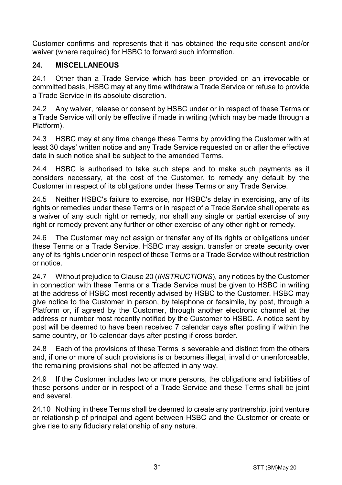Customer confirms and represents that it has obtained the requisite consent and/or waiver (where required) for HSBC to forward such information.

## **24. MISCELLANEOUS**

24.1 Other than a Trade Service which has been provided on an irrevocable or committed basis, HSBC may at any time withdraw a Trade Service or refuse to provide a Trade Service in its absolute discretion.

24.2 Any waiver, release or consent by HSBC under or in respect of these Terms or a Trade Service will only be effective if made in writing (which may be made through a Platform).

24.3 HSBC may at any time change these Terms by providing the Customer with at least 30 days' written notice and any Trade Service requested on or after the effective date in such notice shall be subject to the amended Terms.

24.4 HSBC is authorised to take such steps and to make such payments as it considers necessary, at the cost of the Customer, to remedy any default by the Customer in respect of its obligations under these Terms or any Trade Service.

24.5 Neither HSBC's failure to exercise, nor HSBC's delay in exercising, any of its rights or remedies under these Terms or in respect of a Trade Service shall operate as a waiver of any such right or remedy, nor shall any single or partial exercise of any right or remedy prevent any further or other exercise of any other right or remedy.

24.6 The Customer may not assign or transfer any of its rights or obligations under these Terms or a Trade Service. HSBC may assign, transfer or create security over any of its rights under or in respect of these Terms or a Trade Service without restriction or notice.

24.7 Without prejudice to Clause 20 (*INSTRUCTIONS*), any notices by the Customer in connection with these Terms or a Trade Service must be given to HSBC in writing at the address of HSBC most recently advised by HSBC to the Customer. HSBC may give notice to the Customer in person, by telephone or facsimile, by post, through a Platform or, if agreed by the Customer, through another electronic channel at the address or number most recently notified by the Customer to HSBC. A notice sent by post will be deemed to have been received 7 calendar days after posting if within the same country, or 15 calendar days after posting if cross border.

24.8 Each of the provisions of these Terms is severable and distinct from the others and, if one or more of such provisions is or becomes illegal, invalid or unenforceable, the remaining provisions shall not be affected in any way.

24.9 If the Customer includes two or more persons, the obligations and liabilities of these persons under or in respect of a Trade Service and these Terms shall be joint and several.

24.10 Nothing in these Terms shall be deemed to create any partnership, joint venture or relationship of principal and agent between HSBC and the Customer or create or give rise to any fiduciary relationship of any nature.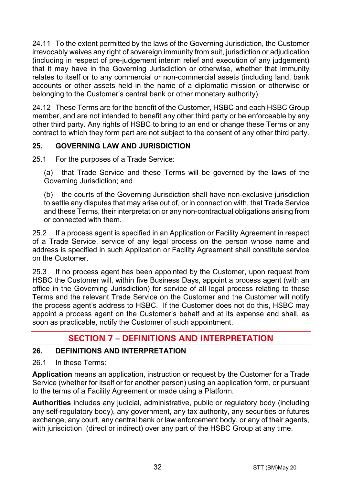24.11 To the extent permitted by the laws of the Governing Jurisdiction, the Customer irrevocably waives any right of sovereign immunity from suit, jurisdiction or adjudication (including in respect of pre-judgement interim relief and execution of any judgement) that it may have in the Governing Jurisdiction or otherwise, whether that immunity relates to itself or to any commercial or non-commercial assets (including land, bank accounts or other assets held in the name of a diplomatic mission or otherwise or belonging to the Customer's central bank or other monetary authority).

24.12 These Terms are for the benefit of the Customer, HSBC and each HSBC Group member, and are not intended to benefit any other third party or be enforceable by any other third party. Any rights of HSBC to bring to an end or change these Terms or any contract to which they form part are not subject to the consent of any other third party.

# **25. GOVERNING LAW AND JURISDICTION**

25.1 For the purposes of a Trade Service:

(a) that Trade Service and these Terms will be governed by the laws of the Governing Jurisdiction; and

(b) the courts of the Governing Jurisdiction shall have non-exclusive jurisdiction to settle any disputes that may arise out of, or in connection with, that Trade Service and these Terms, their interpretation or any non-contractual obligations arising from or connected with them.

25.2 If a process agent is specified in an Application or Facility Agreement in respect of a Trade Service, service of any legal process on the person whose name and address is specified in such Application or Facility Agreement shall constitute service on the Customer.

25.3 If no process agent has been appointed by the Customer, upon request from HSBC the Customer will, within five Business Days, appoint a process agent (with an office in the Governing Jurisdiction) for service of all legal process relating to these Terms and the relevant Trade Service on the Customer and the Customer will notify the process agent's address to HSBC. If the Customer does not do this, HSBC may appoint a process agent on the Customer's behalf and at its expense and shall, as soon as practicable, notify the Customer of such appointment.

# **SECTION 7 – DEFINITIONS AND INTERPRETATION**

#### **26. DEFINITIONS AND INTERPRETATION**

26.1 In these Terms:

**Application** means an application, instruction or request by the Customer for a Trade Service (whether for itself or for another person) using an application form, or pursuant to the terms of a Facility Agreement or made using a Platform.

**Authorities** includes any judicial, administrative, public or regulatory body (including any self-regulatory body), any government, any tax authority, any securities or futures exchange, any court, any central bank or law enforcement body, or any of their agents, with jurisdiction (direct or indirect) over any part of the HSBC Group at any time.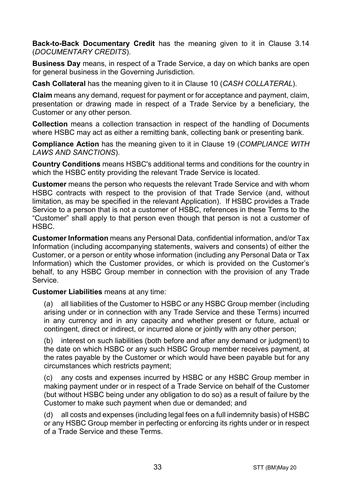**Back-to-Back Documentary Credit** has the meaning given to it in Clause 3.14 (*DOCUMENTARY CREDITS*).

**Business Day** means, in respect of a Trade Service, a day on which banks are open for general business in the Governing Jurisdiction.

**Cash Collateral** has the meaning given to it in Clause 10 (*CASH COLLATERAL*).

**Claim** means any demand, request for payment or for acceptance and payment, claim, presentation or drawing made in respect of a Trade Service by a beneficiary, the Customer or any other person.

**Collection** means a collection transaction in respect of the handling of Documents where HSBC may act as either a remitting bank, collecting bank or presenting bank.

**Compliance Action** has the meaning given to it in Clause 19 (*COMPLIANCE WITH LAWS AND SANCTIONS*).

**Country Conditions** means HSBC's additional terms and conditions for the country in which the HSBC entity providing the relevant Trade Service is located.

**Customer** means the person who requests the relevant Trade Service and with whom HSBC contracts with respect to the provision of that Trade Service (and, without limitation, as may be specified in the relevant Application). If HSBC provides a Trade Service to a person that is not a customer of HSBC, references in these Terms to the "Customer" shall apply to that person even though that person is not a customer of HSBC.

**Customer Information** means any Personal Data, confidential information, and/or Tax Information (including accompanying statements, waivers and consents) of either the Customer, or a person or entity whose information (including any Personal Data or Tax Information) which the Customer provides, or which is provided on the Customer's behalf, to any HSBC Group member in connection with the provision of any Trade Service.

**Customer Liabilities** means at any time:

(a) all liabilities of the Customer to HSBC or any HSBC Group member (including arising under or in connection with any Trade Service and these Terms) incurred in any currency and in any capacity and whether present or future, actual or contingent, direct or indirect, or incurred alone or jointly with any other person;

(b) interest on such liabilities (both before and after any demand or judgment) to the date on which HSBC or any such HSBC Group member receives payment, at the rates payable by the Customer or which would have been payable but for any circumstances which restricts payment;

(c) any costs and expenses incurred by HSBC or any HSBC Group member in making payment under or in respect of a Trade Service on behalf of the Customer (but without HSBC being under any obligation to do so) as a result of failure by the Customer to make such payment when due or demanded; and

(d) all costs and expenses (including legal fees on a full indemnity basis) of HSBC or any HSBC Group member in perfecting or enforcing its rights under or in respect of a Trade Service and these Terms.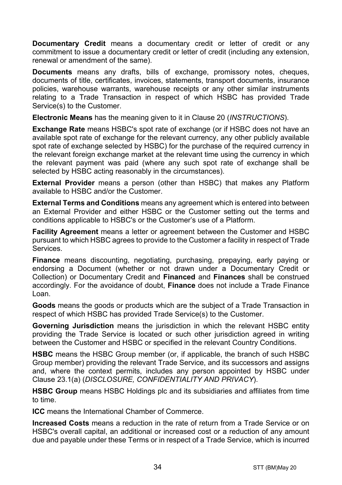**Documentary Credit** means a documentary credit or letter of credit or any commitment to issue a documentary credit or letter of credit (including any extension. renewal or amendment of the same).

**Documents** means any drafts, bills of exchange, promissory notes, cheques, documents of title, certificates, invoices, statements, transport documents, insurance policies, warehouse warrants, warehouse receipts or any other similar instruments relating to a Trade Transaction in respect of which HSBC has provided Trade Service(s) to the Customer.

**Electronic Means** has the meaning given to it in Clause 20 (*INSTRUCTIONS*).

**Exchange Rate** means HSBC's spot rate of exchange (or if HSBC does not have an available spot rate of exchange for the relevant currency, any other publicly available spot rate of exchange selected by HSBC) for the purchase of the required currency in the relevant foreign exchange market at the relevant time using the currency in which the relevant payment was paid (where any such spot rate of exchange shall be selected by HSBC acting reasonably in the circumstances).

**External Provider** means a person (other than HSBC) that makes any Platform available to HSBC and/or the Customer.

**External Terms and Conditions** means any agreement which is entered into between an External Provider and either HSBC or the Customer setting out the terms and conditions applicable to HSBC's or the Customer's use of a Platform.

**Facility Agreement** means a letter or agreement between the Customer and HSBC pursuant to which HSBC agrees to provide to the Customer a facility in respect of Trade Services.

**Finance** means discounting, negotiating, purchasing, prepaying, early paying or endorsing a Document (whether or not drawn under a Documentary Credit or Collection) or Documentary Credit and **Financed** and **Finances** shall be construed accordingly. For the avoidance of doubt, **Finance** does not include a Trade Finance Loan.

**Goods** means the goods or products which are the subject of a Trade Transaction in respect of which HSBC has provided Trade Service(s) to the Customer.

**Governing Jurisdiction** means the jurisdiction in which the relevant HSBC entity providing the Trade Service is located or such other jurisdiction agreed in writing between the Customer and HSBC or specified in the relevant Country Conditions.

**HSBC** means the HSBC Group member (or, if applicable, the branch of such HSBC Group member) providing the relevant Trade Service, and its successors and assigns and, where the context permits, includes any person appointed by HSBC under Clause 23.1(a) (*DISCLOSURE, CONFIDENTIALITY AND PRIVACY*).

**HSBC Group** means HSBC Holdings plc and its subsidiaries and affiliates from time to time.

**ICC** means the International Chamber of Commerce.

**Increased Costs** means a reduction in the rate of return from a Trade Service or on HSBC's overall capital, an additional or increased cost or a reduction of any amount due and payable under these Terms or in respect of a Trade Service, which is incurred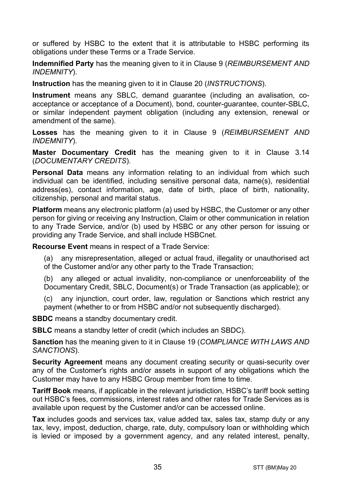or suffered by HSBC to the extent that it is attributable to HSBC performing its obligations under these Terms or a Trade Service.

**Indemnified Party** has the meaning given to it in Clause 9 (*REIMBURSEMENT AND INDEMNITY*).

**Instruction** has the meaning given to it in Clause 20 (*INSTRUCTIONS*).

**Instrument** means any SBLC, demand guarantee (including an avalisation, coacceptance or acceptance of a Document), bond, counter-guarantee, counter-SBLC, or similar independent payment obligation (including any extension, renewal or amendment of the same).

**Losses** has the meaning given to it in Clause 9 (*REIMBURSEMENT AND INDEMNITY*).

**Master Documentary Credit** has the meaning given to it in Clause 3.14 (*DOCUMENTARY CREDITS*).

**Personal Data** means any information relating to an individual from which such individual can be identified, including sensitive personal data, name(s), residential address(es), contact information, age, date of birth, place of birth, nationality, citizenship, personal and marital status.

**Platform** means any electronic platform (a) used by HSBC, the Customer or any other person for giving or receiving any Instruction, Claim or other communication in relation to any Trade Service, and/or (b) used by HSBC or any other person for issuing or providing any Trade Service, and shall include HSBCnet.

**Recourse Event** means in respect of a Trade Service:

(a) any misrepresentation, alleged or actual fraud, illegality or unauthorised act of the Customer and/or any other party to the Trade Transaction;

(b) any alleged or actual invalidity, non-compliance or unenforceability of the Documentary Credit, SBLC, Document(s) or Trade Transaction (as applicable); or

(c) any injunction, court order, law, regulation or Sanctions which restrict any payment (whether to or from HSBC and/or not subsequently discharged).

**SBDC** means a standby documentary credit.

**SBLC** means a standby letter of credit (which includes an SBDC).

**Sanction** has the meaning given to it in Clause 19 (*COMPLIANCE WITH LAWS AND SANCTIONS*).

**Security Agreement** means any document creating security or quasi-security over any of the Customer's rights and/or assets in support of any obligations which the Customer may have to any HSBC Group member from time to time.

**Tariff Book** means, if applicable in the relevant jurisdiction, HSBC's tariff book setting out HSBC's fees, commissions, interest rates and other rates for Trade Services as is available upon request by the Customer and/or can be accessed online.

**Tax** includes goods and services tax, value added tax, sales tax, stamp duty or any tax, levy, impost, deduction, charge, rate, duty, compulsory loan or withholding which is levied or imposed by a government agency, and any related interest, penalty,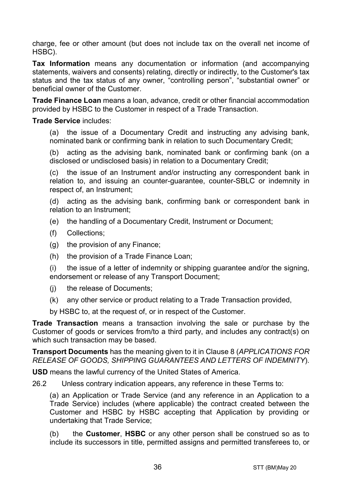charge, fee or other amount (but does not include tax on the overall net income of HSBC).

**Tax Information** means any documentation or information (and accompanying statements, waivers and consents) relating, directly or indirectly, to the Customer's tax status and the tax status of any owner, "controlling person", "substantial owner" or beneficial owner of the Customer.

**Trade Finance Loan** means a loan, advance, credit or other financial accommodation provided by HSBC to the Customer in respect of a Trade Transaction.

#### **Trade Service** includes:

(a) the issue of a Documentary Credit and instructing any advising bank, nominated bank or confirming bank in relation to such Documentary Credit;

(b) acting as the advising bank, nominated bank or confirming bank (on a disclosed or undisclosed basis) in relation to a Documentary Credit;

(c) the issue of an Instrument and/or instructing any correspondent bank in relation to, and issuing an counter-guarantee, counter-SBLC or indemnity in respect of, an Instrument;

(d) acting as the advising bank, confirming bank or correspondent bank in relation to an Instrument;

- (e) the handling of a Documentary Credit, Instrument or Document;
- (f) Collections;
- (g) the provision of any Finance;
- (h) the provision of a Trade Finance Loan;

(i) the issue of a letter of indemnity or shipping guarantee and/or the signing, endorsement or release of any Transport Document;

- (j) the release of Documents;
- (k) any other service or product relating to a Trade Transaction provided,

by HSBC to, at the request of, or in respect of the Customer.

**Trade Transaction** means a transaction involving the sale or purchase by the Customer of goods or services from/to a third party, and includes any contract(s) on which such transaction may be based.

**Transport Documents** has the meaning given to it in Clause 8 (*APPLICATIONS FOR RELEASE OF GOODS, SHIPPING GUARANTEES AND LETTERS OF INDEMNITY*).

**USD** means the lawful currency of the United States of America.

26.2 Unless contrary indication appears, any reference in these Terms to:

(a) an Application or Trade Service (and any reference in an Application to a Trade Service) includes (where applicable) the contract created between the Customer and HSBC by HSBC accepting that Application by providing or undertaking that Trade Service;

(b) the **Customer**, **HSBC** or any other person shall be construed so as to include its successors in title, permitted assigns and permitted transferees to, or